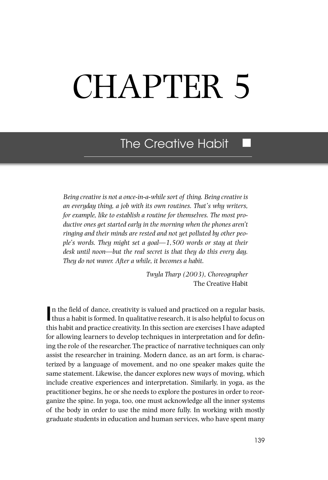# CHAPTER 5

# The Creative Habit

*Being creative is not a once-in-a-while sort of thing. Being creative is an everyday thing, a job with its own routines. That's why writers, for example, like to establish a routine for themselves. The most productive ones get started early in the morning when the phones aren't ringing and their minds are rested and not yet polluted by other people's words. They might set a goal—1,500 words or stay at their desk until noon—but the real secret is that they do this every day. They do not waver. After a while, it becomes a habit.*

> *Twyla Tharp (2003), Choreographer* The Creative Habit

In the field of dance, creativity is valued and practiced on a regular basis, thus a habit is formed. In qualitative research, it is also helpful to focus on thus a habit is formed. In qualitative research, it is also helpful to focus on this habit and practice creativity. In this section are exercises I have adapted for allowing learners to develop techniques in interpretation and for defining the role of the researcher. The practice of narrative techniques can only assist the researcher in training. Modern dance, as an art form, is characterized by a language of movement, and no one speaker makes quite the same statement. Likewise, the dancer explores new ways of moving, which include creative experiences and interpretation. Similarly, in yoga, as the practitioner begins, he or she needs to explore the postures in order to reorganize the spine. In yoga, too, one must acknowledge all the inner systems of the body in order to use the mind more fully. In working with mostly graduate students in education and human services, who have spent many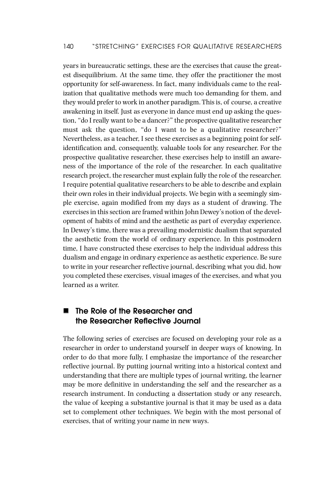years in bureaucratic settings, these are the exercises that cause the greatest disequilibrium. At the same time, they offer the practitioner the most opportunity for self-awareness. In fact, many individuals came to the realization that qualitative methods were much too demanding for them, and they would prefer to work in another paradigm. This is, of course, a creative awakening in itself. Just as everyone in dance must end up asking the question, "do I really want to be a dancer?" the prospective qualitative researcher must ask the question, "do I want to be a qualitative researcher?" Nevertheless, as a teacher, I see these exercises as a beginning point for selfidentification and, consequently, valuable tools for any researcher. For the prospective qualitative researcher, these exercises help to instill an awareness of the importance of the role of the researcher. In each qualitative research project, the researcher must explain fully the role of the researcher. I require potential qualitative researchers to be able to describe and explain their own roles in their individual projects. We begin with a seemingly simple exercise, again modified from my days as a student of drawing. The exercises in this section are framed within John Dewey's notion of the development of habits of mind and the aesthetic as part of everyday experience. In Dewey's time, there was a prevailing modernistic dualism that separated the aesthetic from the world of ordinary experience. In this postmodern time, I have constructed these exercises to help the individual address this dualism and engage in ordinary experience as aesthetic experience. Be sure to write in your researcher reflective journal, describing what you did, how you completed these exercises, visual images of the exercises, and what you learned as a writer.

## - **The Role of the Researcher and the Researcher Reflective Journal**

The following series of exercises are focused on developing your role as a researcher in order to understand yourself in deeper ways of knowing. In order to do that more fully, I emphasize the importance of the researcher reflective journal. By putting journal writing into a historical context and understanding that there are multiple types of journal writing, the learner may be more definitive in understanding the self and the researcher as a research instrument. In conducting a dissertation study or any research, the value of keeping a substantive journal is that it may be used as a data set to complement other techniques. We begin with the most personal of exercises, that of writing your name in new ways.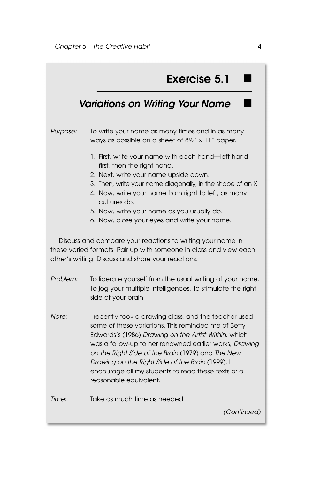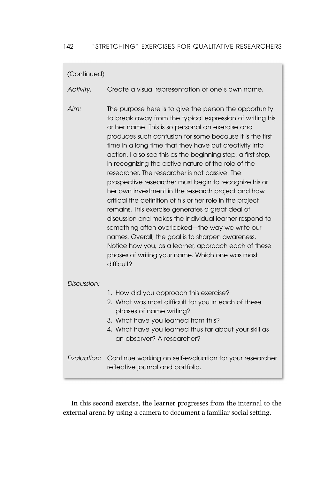#### (Continued)

*Activity:* Create a visual representation of one's own name.

*Aim:* The purpose here is to give the person the opportunity to break away from the typical expression of writing his or her name. This is so personal an exercise and produces such confusion for some because it is the first time in a long time that they have put creativity into action. I also see this as the beginning step, a first step, in recognizing the active nature of the role of the researcher. The researcher is not passive. The prospective researcher must begin to recognize his or her own investment in the research project and how critical the definition of his or her role in the project remains. This exercise generates a great deal of discussion and makes the individual learner respond to something often overlooked—the way we write our names. Overall, the goal is to sharpen awareness. Notice how you, as a learner, approach each of these phases of writing your name. Which one was most difficult?

#### *Discussion:*

- 1. How did you approach this exercise?
- 2. What was most difficult for you in each of these phases of name writing?
- 3. What have you learned from this?
- 4. What have you learned thus far about your skill as an observer? A researcher?
- *Evaluation:* Continue working on self-evaluation for your researcher reflective journal and portfolio.

In this second exercise, the learner progresses from the internal to the external arena by using a camera to document a familiar social setting.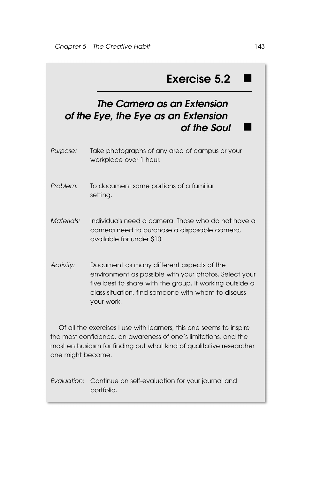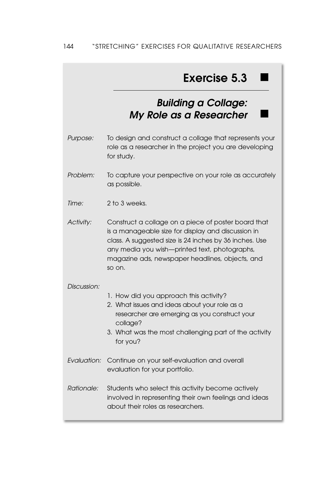|                  | <b>Exercise 5.3</b>                                                                                                                                                                                                                                                               |
|------------------|-----------------------------------------------------------------------------------------------------------------------------------------------------------------------------------------------------------------------------------------------------------------------------------|
|                  | <b>Building a Collage:</b><br>My Role as a Researcher                                                                                                                                                                                                                             |
| Purpose:         | To design and construct a collage that represents your<br>role as a researcher in the project you are developing<br>for study.                                                                                                                                                    |
| Problem:         | To capture your perspective on your role as accurately<br>as possible.                                                                                                                                                                                                            |
| Time:            | 2 to 3 weeks.                                                                                                                                                                                                                                                                     |
| <b>Activity:</b> | Construct a collage on a piece of poster board that<br>is a manageable size for display and discussion in<br>class. A suggested size is 24 inches by 36 inches. Use<br>any media you wish-printed text, photographs,<br>magazine ads, newspaper headlines, objects, and<br>so on. |
| Discussion:      | 1. How did you approach this activity?<br>2. What issues and ideas about your role as a<br>researcher are emerging as you construct your<br>collage?<br>3. What was the most challenging part of the activity<br>for you?                                                         |
| Evaluation:      | Continue on your self-evaluation and overall<br>evaluation for your portfolio.                                                                                                                                                                                                    |
| Rationale:       | Students who select this activity become actively<br>involved in representing their own feelings and ideas<br>about their roles as researchers.                                                                                                                                   |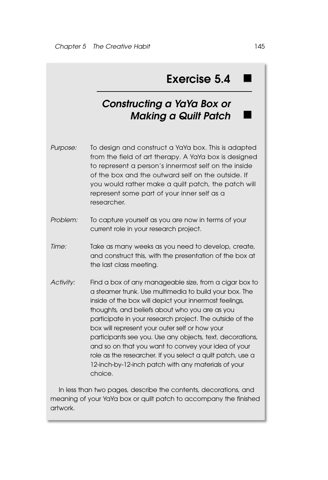artwork.

|                                                                                                                                      | <b>Exercise 5.4</b>                                                                                                                                                                                                                                                                                                                                                                                                                                                                                                                                                                            |
|--------------------------------------------------------------------------------------------------------------------------------------|------------------------------------------------------------------------------------------------------------------------------------------------------------------------------------------------------------------------------------------------------------------------------------------------------------------------------------------------------------------------------------------------------------------------------------------------------------------------------------------------------------------------------------------------------------------------------------------------|
|                                                                                                                                      | Constructing a YaYa Box or<br><b>Making a Quilt Patch</b>                                                                                                                                                                                                                                                                                                                                                                                                                                                                                                                                      |
| Purpose:                                                                                                                             | To design and construct a YaYa box. This is adapted<br>from the field of art therapy. A YaYa box is designed<br>to represent a person's innermost self on the inside<br>of the box and the outward self on the outside. If<br>you would rather make a quilt patch, the patch will<br>represent some part of your inner self as a<br>researcher.                                                                                                                                                                                                                                                |
| Problem:                                                                                                                             | To capture yourself as you are now in terms of your<br>current role in your research project.                                                                                                                                                                                                                                                                                                                                                                                                                                                                                                  |
| Time:                                                                                                                                | Take as many weeks as you need to develop, create,<br>and construct this, with the presentation of the box at<br>the last class meeting.                                                                                                                                                                                                                                                                                                                                                                                                                                                       |
| Activity:                                                                                                                            | Find a box of any manageable size, from a cigar box to<br>a steamer trunk. Use multimedia to build your box. The<br>inside of the box will depict your innermost feelings,<br>thoughts, and beliefs about who you are as you<br>participate in your research project. The outside of the<br>box will represent your outer self or how your<br>participants see you. Use any objects, text, decorations,<br>and so on that you want to convey your idea of your<br>role as the researcher. If you select a quilt patch, use a<br>12-inch-by-12-inch patch with any materials of your<br>choice. |
| In less than two pages, describe the contents, decorations, and<br>meaning of your YaYa box or quilt patch to accompany the finished |                                                                                                                                                                                                                                                                                                                                                                                                                                                                                                                                                                                                |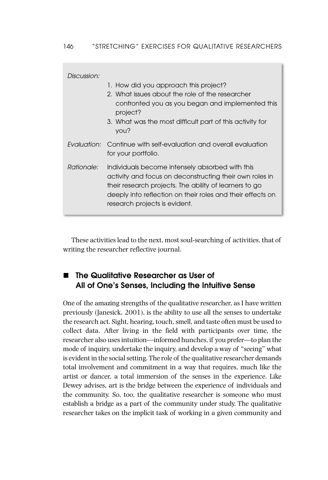| Discussion: | 1. How did you approach this project?                                                                                                                                                                                                                               |
|-------------|---------------------------------------------------------------------------------------------------------------------------------------------------------------------------------------------------------------------------------------------------------------------|
|             | 2. What issues about the role of the researcher<br>confronted you as you began and implemented this<br>project?<br>3. What was the most difficult part of this activity for                                                                                         |
|             | you?                                                                                                                                                                                                                                                                |
| Evaluation: | Continue with self-evaluation and overall evaluation<br>for your portfolio.                                                                                                                                                                                         |
| Rationale:  | Individuals become intensely absorbed with this<br>activity and focus on deconstructing their own roles in<br>their research projects. The ability of learners to go<br>deeply into reflection on their roles and their effects on<br>research projects is evident. |

These activities lead to the next, most soul-searching of activities, that of writing the researcher reflective journal.

## - **The Qualitative Researcher as User of All of One's Senses, Including the Intuitive Sense**

One of the amazing strengths of the qualitative researcher, as I have written previously (Janesick, 2001), is the ability to use all the senses to undertake the research act. Sight, hearing, touch, smell, and taste often must be used to collect data. After living in the field with participants over time, the researcher also usesintuition—informed hunches, if you prefer—to plan the mode of inquiry, undertake the inquiry, and develop a way of "seeing" what is evident in the social setting. The role of the qualitative researcher demands total involvement and commitment in a way that requires, much like the artist or dancer, a total immersion of the senses in the experience. Like Dewey advises, art is the bridge between the experience of individuals and the community. So, too, the qualitative researcher is someone who must establish a bridge as a part of the community under study. The qualitative researcher takes on the implicit task of working in a given community and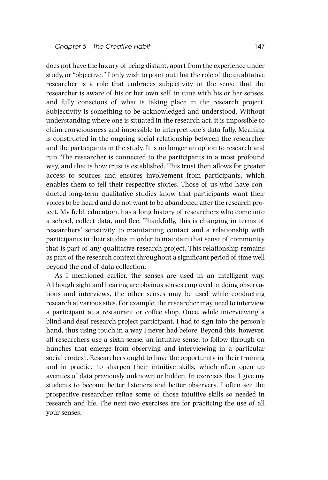does not have the luxury of being distant, apart from the experience under study, or "objective." I only wish to point out that the role of the qualitative researcher is a role that embraces subjectivity in the sense that the researcher is aware of his or her own self, in tune with his or her senses, and fully conscious of what is taking place in the research project. Subjectivity is something to be acknowledged and understood. Without understanding where one is situated in the research act, it is impossible to claim consciousness and impossible to interpret one's data fully. Meaning is constructed in the ongoing social relationship between the researcher and the participants in the study. It is no longer an option to research and run. The researcher is connected to the participants in a most profound way, and that is how trust is established. This trust then allows for greater access to sources and ensures involvement from participants, which enables them to tell their respective stories. Those of us who have conducted long-term qualitative studies know that participants want their voices to be heard and do not want to be abandoned after the research project. My field, education, has a long history of researchers who come into a school, collect data, and flee. Thankfully, this is changing in terms of researchers' sensitivity to maintaining contact and a relationship with participants in their studies in order to maintain that sense of community that is part of any qualitative research project. This relationship remains as part of the research context throughout a significant period of time well beyond the end of data collection.

As I mentioned earlier, the senses are used in an intelligent way. Although sight and hearing are obvious senses employed in doing observations and interviews, the other senses may be used while conducting research at various sites. For example, the researcher may need to interview a participant at a restaurant or coffee shop. Once, while interviewing a blind and deaf research project participant, I had to sign into the person's hand, thus using touch in a way I never had before. Beyond this, however, all researchers use a sixth sense, an intuitive sense, to follow through on hunches that emerge from observing and interviewing in a particular social context. Researchers ought to have the opportunity in their training and in practice to sharpen their intuitive skills, which often open up avenues of data previously unknown or hidden. In exercises that I give my students to become better listeners and better observers, I often see the prospective researcher refine some of those intuitive skills so needed in research and life. The next two exercises are for practicing the use of all your senses.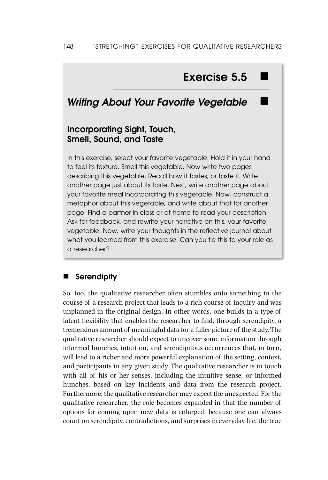# Exercise 5.5

# *Writing About Your Favorite Vegetable* -

## **Incorporating Sight, Touch, Smell, Sound, and Taste**

In this exercise, select your favorite vegetable. Hold it in your hand to feel its texture. Smell this vegetable. Now write two pages describing this vegetable. Recall how it tastes, or taste it. Write another page just about its taste. Next, write another page about your favorite meal incorporating this vegetable. Now, construct a metaphor about this vegetable, and write about that for another page. Find a partner in class or at home to read your description. Ask for feedback, and rewrite your narrative on this, your favorite vegetable. Now, write your thoughts in the reflective journal about what you learned from this exercise. Can you tie this to your role as a researcher?

#### -**Serendipity**

So, too, the qualitative researcher often stumbles onto something in the course of a research project that leads to a rich course of inquiry and was unplanned in the original design. In other words, one builds in a type of latent flexibility that enables the researcher to find, through serendipity, a tremendous amount of meaningful data for a fuller picture of the study.The qualitative researcher should expect to uncover some information through informed hunches, intuition, and serendipitous occurrences that, in turn, will lead to a richer and more powerful explanation of the setting, context, and participants in any given study. The qualitative researcher is in touch with all of his or her senses, including the intuitive sense, or informed hunches, based on key incidents and data from the research project. Furthermore, the qualitative researcher may expect the unexpected. Forthe qualitative researcher, the role becomes expanded in that the number of options for coming upon new data is enlarged, because one can always count on serendipity, contradictions, and surprises in everyday life, the true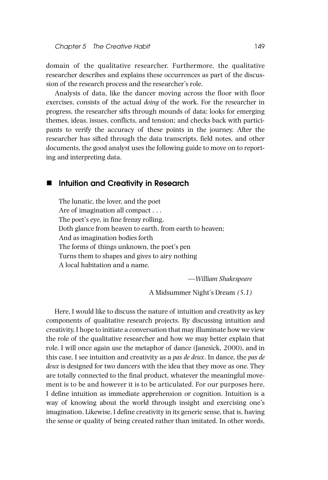domain of the qualitative researcher. Furthermore, the qualitative researcher describes and explains these occurrences as part of the discussion of the research process and the researcher's role.

Analysis of data, like the dancer moving across the floor with floor exercises, consists of the actual *doing* of the work. For the researcher in progress, the researcher sifts through mounds of data; looks for emerging themes, ideas, issues, conflicts, and tension; and checks back with participants to verify the accuracy of these points in the journey. After the researcher has sifted through the data transcripts, field notes, and other documents, the good analyst uses the following guide to move on to reporting and interpreting data.

#### -**Intuition and Creativity in Research**

The lunatic, the lover, and the poet Are of imagination all compact ... The poet's eye, in fine frenzy rolling, Doth glance from heaven to earth, from earth to heaven; And as imagination bodies forth The forms of things unknown, the poet's pen Turns them to shapes and gives to airy nothing A local habitation and a name.

*—William Shakespeare*

A Midsummer Night's Dream *(5.1)*

Here, I would like to discuss the nature of intuition and creativity as key components of qualitative research projects. By discussing intuition and creativity, I hope to initiate a conversation that may illuminate how we view the role of the qualitative researcher and how we may better explain that role. I will once again use the metaphor of dance (Janesick, 2000), and in this case, I see intuition and creativity as a *pas de deux*. In dance, the *pas de deux* is designed for two dancers with the idea that they move as one. They are totally connected to the final product, whatever the meaningful movement is to be and however it is to be articulated. For our purposes here, I define intuition as immediate apprehension or cognition. Intuition is a way of knowing about the world through insight and exercising one's imagination. Likewise, I define creativity in its generic sense, that is, having the sense or quality of being created rather than imitated. In other words,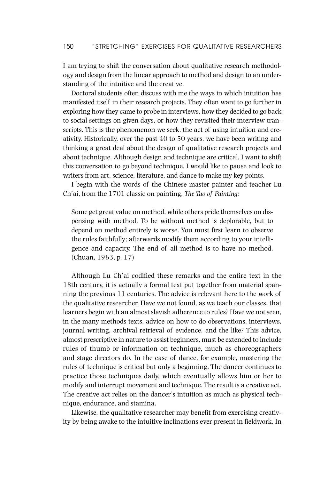I am trying to shift the conversation about qualitative research methodology and design from the linear approach to method and design to an understanding of the intuitive and the creative.

Doctoral students often discuss with me the ways in which intuition has manifested itself in their research projects. They often want to go further in exploring how they came to probe in interviews, how they decided to go back to social settings on given days, or how they revisited their interview transcripts. This is the phenomenon we seek, the act of using intuition and creativity. Historically, over the past 40 to 50 years, we have been writing and thinking a great deal about the design of qualitative research projects and about technique. Although design and technique are critical, I want to shift this conversation to go beyond technique. I would like to pause and look to writers from art, science, literature, and dance to make my key points.

I begin with the words of the Chinese master painter and teacher Lu Ch'ai, from the 1701 classic on painting, *The Tao of Painting:*

Some get great value on method, while others pride themselves on dispensing with method. To be without method is deplorable, but to depend on method entirely is worse. You must first learn to observe the rules faithfully; afterwards modify them according to your intelligence and capacity. The end of all method is to have no method. (Chuan, 1963, p. 17)

Although Lu Ch'ai codified these remarks and the entire text in the 18th century, it is actually a formal text put together from material spanning the previous 11 centuries. The advice is relevant here to the work of the qualitative researcher. Have we not found, as we teach our classes, that learners begin with an almost slavish adherence to rules? Have we not seen, in the many methods texts, advice on how to do observations, interviews, journal writing, archival retrieval of evidence, and the like? This advice, almost prescriptive in nature to assist beginners, must be extended to include rules of thumb or information on technique, much as choreographers and stage directors do. In the case of dance, for example, mastering the rules of technique is critical but only a beginning. The dancer continues to practice those techniques daily, which eventually allows him or her to modify and interrupt movement and technique. The result is a creative act. The creative act relies on the dancer's intuition as much as physical technique, endurance, and stamina.

Likewise, the qualitative researcher may benefit from exercising creativity by being awake to the intuitive inclinations ever present in fieldwork. In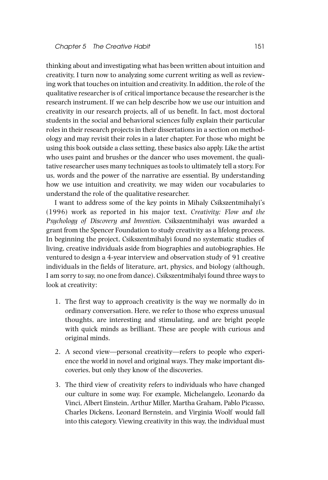thinking about and investigating what has been written about intuition and creativity, I turn now to analyzing some current writing as well as reviewing work that touches on intuition and creativity. In addition, the role of the qualitative researcher is of critical importance because the researcher is the research instrument. If we can help describe how we use our intuition and creativity in our research projects, all of us benefit. In fact, most doctoral students in the social and behavioral sciences fully explain their particular roles in their research projects in their dissertations in a section on methodology and may revisit their roles in a later chapter. For those who might be using this book outside a class setting, these basics also apply. Like the artist who uses paint and brushes or the dancer who uses movement, the qualitative researcher uses many techniques astoolsto ultimately tell a story. For us, words and the power of the narrative are essential. By understanding how we use intuition and creativity, we may widen our vocabularies to understand the role of the qualitative researcher.

I want to address some of the key points in Mihaly Csikszentmihalyi's (1996) work as reported in his major text, *Creativity: Flow and the Psychology of Discovery and Invention.* Csikszentmihalyi was awarded a grant from the Spencer Foundation to study creativity as a lifelong process. In beginning the project, Csikszentmihalyi found no systematic studies of living, creative individuals aside from biographies and autobiographies. He ventured to design a 4-year interview and observation study of 91 creative individuals in the fields of literature, art, physics, and biology (although, I am sorry to say, no one from dance). Csikszentmihalyi found three ways to look at creativity:

- 1. The first way to approach creativity is the way we normally do in ordinary conversation. Here, we refer to those who express unusual thoughts, are interesting and stimulating, and are bright people with quick minds as brilliant. These are people with curious and original minds.
- 2. A second view—personal creativity—refers to people who experience the world in novel and original ways. They make important discoveries, but only they know of the discoveries.
- 3. The third view of creativity refers to individuals who have changed our culture in some way. For example, Michelangelo, Leonardo da Vinci, Albert Einstein, Arthur Miller, Martha Graham, Pablo Picasso, Charles Dickens, Leonard Bernstein, and Virginia Woolf would fall into this category. Viewing creativity in this way, the individual must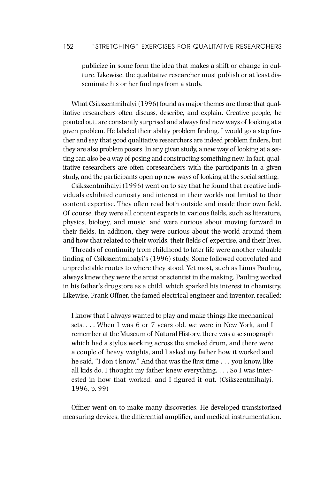publicize in some form the idea that makes a shift or change in culture. Likewise, the qualitative researcher must publish or at least disseminate his or her findings from a study.

What Csikszentmihalyi (1996) found as major themes are those that qualitative researchers often discuss, describe, and explain. Creative people, he pointed out, are constantly surprised and always find new ways of looking at a given problem. He labeled their ability problem finding. I would go a step further and say that good qualitative researchers are indeed problem finders, but they are also problem posers. In any given study, a new way of looking at a setting can also be a way of posing and constructing something new. In fact, qualitative researchers are often coresearchers with the participants in a given study, and the participants open up new ways of looking at the social setting.

Csikszentmihalyi (1996) went on to say that he found that creative individuals exhibited curiosity and interest in their worlds not limited to their content expertise. They often read both outside and inside their own field. Of course, they were all content experts in various fields, such as literature, physics, biology, and music, and were curious about moving forward in their fields. In addition, they were curious about the world around them and how that related to their worlds, their fields of expertise, and their lives.

Threads of continuity from childhood to later life were another valuable finding of Csikszentmihalyi's (1996) study. Some followed convoluted and unpredictable routes to where they stood. Yet most, such as Linus Pauling, always knew they were the artist or scientist in the making. Pauling worked in his father's drugstore as a child, which sparked his interest in chemistry. Likewise, Frank Offner, the famed electrical engineer and inventor, recalled:

I know that I always wanted to play and make things like mechanical sets. ... When I was 6 or 7 years old, we were in New York, and I remember at the Museum of Natural History, there was a seismograph which had a stylus working across the smoked drum, and there were a couple of heavy weights, and I asked my father how it worked and he said, "I don't know." And that was the first time ... you know, like all kids do, I thought my father knew everything. ... So I was interested in how that worked, and I figured it out. (Csikszentmihalyi, 1996, p. 99)

Offner went on to make many discoveries. He developed transistorized measuring devices, the differential amplifier, and medical instrumentation.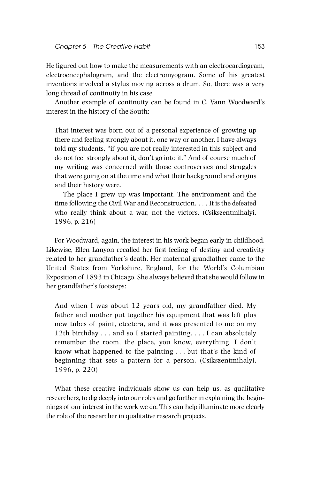He figured out how to make the measurements with an electrocardiogram, electroencephalogram, and the electromyogram. Some of his greatest inventions involved a stylus moving across a drum. So, there was a very long thread of continuity in his case.

Another example of continuity can be found in C. Vann Woodward's interest in the history of the South:

That interest was born out of a personal experience of growing up there and feeling strongly about it, one way or another. I have always told my students, "if you are not really interested in this subject and do not feel strongly about it, don't go into it." And of course much of my writing was concerned with those controversies and struggles that were going on at the time and what their background and origins and their history were.

The place I grew up was important. The environment and the time following the Civil War and Reconstruction. ... It is the defeated who really think about a war, not the victors. (Csikszentmihalyi, 1996, p. 216)

For Woodward, again, the interest in his work began early in childhood. Likewise, Ellen Lanyon recalled her first feeling of destiny and creativity related to her grandfather's death. Her maternal grandfather came to the United States from Yorkshire, England, for the World's Columbian Exposition of 1893 in Chicago. She always believed that she would follow in her grandfather's footsteps:

And when I was about 12 years old, my grandfather died. My father and mother put together his equipment that was left plus new tubes of paint, etcetera, and it was presented to me on my 12th birthday ... and so I started painting... I can absolutely remember the room, the place, you know, everything. I don't know what happened to the painting ... but that's the kind of beginning that sets a pattern for a person. (Csikszentmihalyi, 1996, p. 220)

What these creative individuals show us can help us, as qualitative researchers, to dig deeply into our roles and go further in explaining the beginnings of our interest in the work we do. This can help illuminate more clearly the role of the researcher in qualitative research projects.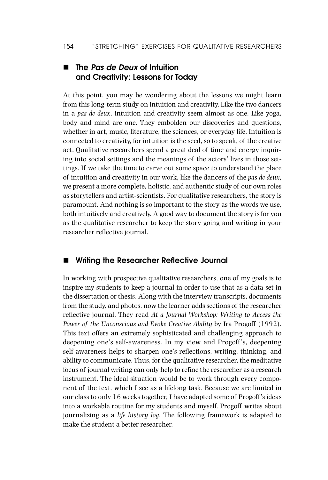## - **The** *Pas de Deux* **of Intuition and Creativity: Lessons for Today**

At this point, you may be wondering about the lessons we might learn from this long-term study on intuition and creativity. Like the two dancers in a *pas de deux,* intuition and creativity seem almost as one. Like yoga, body and mind are one. They embolden our discoveries and questions, whether in art, music, literature, the sciences, or everyday life. Intuition is connected to creativity, for intuition is the seed, so to speak, of the creative act. Qualitative researchers spend a great deal of time and energy inquiring into social settings and the meanings of the actors' lives in those settings. If we take the time to carve out some space to understand the place of intuition and creativity in our work, like the dancers of the *pas de deux,* we present a more complete, holistic, and authentic study of our own roles as storytellers and artist-scientists. For qualitative researchers, the story is paramount. And nothing is so important to the story as the words we use, both intuitively and creatively. A good way to document the story is for you as the qualitative researcher to keep the story going and writing in your researcher reflective journal.

#### -**Writing the Researcher Reflective Journal**

In working with prospective qualitative researchers, one of my goals is to inspire my students to keep a journal in order to use that as a data set in the dissertation or thesis. Along with the interview transcripts, documents from the study, and photos, now the learner adds sections of the researcher reflective journal. They read *At a Journal Workshop: Writing to Access the Power of the Unconscious and Evoke Creative Ability* by Ira Progoff (1992). This text offers an extremely sophisticated and challenging approach to deepening one's self-awareness. In my view and Progoff 's, deepening self-awareness helps to sharpen one's reflections, writing, thinking, and ability to communicate. Thus, for the qualitative researcher, the meditative focus of journal writing can only help to refine the researcher as a research instrument. The ideal situation would be to work through every component of the text, which I see as a lifelong task. Because we are limited in our class to only 16 weeks together, I have adapted some of Progoff's ideas into a workable routine for my students and myself. Progoff writes about journalizing as a *life history log*. The following framework is adapted to make the student a better researcher.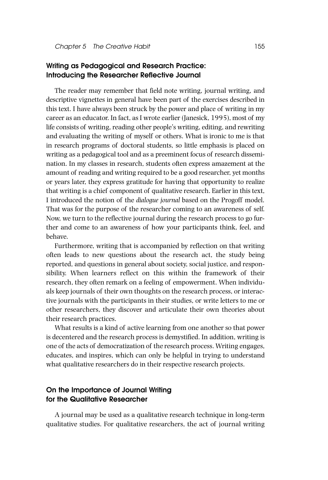## **Writing as Pedagogical and Research Practice: Introducing the Researcher Reflective Journal**

The reader may remember that field note writing, journal writing, and descriptive vignettes in general have been part of the exercises described in this text. I have always been struck by the power and place of writing in my career as an educator. In fact, as I wrote earlier (Janesick, 1995), most of my life consists of writing, reading other people's writing, editing, and rewriting and evaluating the writing of myself or others. What is ironic to me is that in research programs of doctoral students, so little emphasis is placed on writing as a pedagogical tool and as a preeminent focus of research dissemination. In my classes in research, students often express amazement at the amount of reading and writing required to be a good researcher, yet months or years later, they express gratitude for having that opportunity to realize that writing is a chief component of qualitative research. Earlier in this text, I introduced the notion of the *dialogue journal* based on the Progoff model. That was for the purpose of the researcher coming to an awareness of self. Now, we turn to the reflective journal during the research process to go further and come to an awareness of how your participants think, feel, and behave.

Furthermore, writing that is accompanied by reflection on that writing often leads to new questions about the research act, the study being reported, and questions in general about society, social justice, and responsibility. When learners reflect on this within the framework of their research, they often remark on a feeling of empowerment. When individuals keep journals of their own thoughts on the research process, or interactive journals with the participants in their studies, or write letters to me or other researchers, they discover and articulate their own theories about their research practices.

What results is a kind of active learning from one another so that power is decentered and the research process is demystified. In addition, writing is one of the acts of democratization of the research process. Writing engages, educates, and inspires, which can only be helpful in trying to understand what qualitative researchers do in their respective research projects.

## **On the Importance of Journal Writing for the Qualitative Researcher**

A journal may be used as a qualitative research technique in long-term qualitative studies. For qualitative researchers, the act of journal writing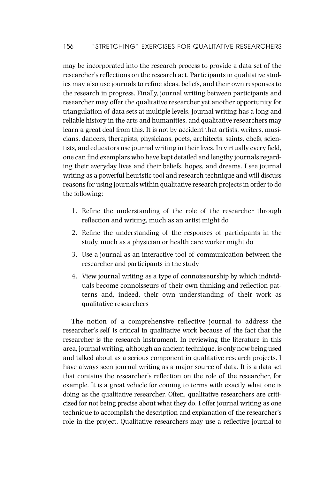may be incorporated into the research process to provide a data set of the researcher's reflections on the research act. Participants in qualitative studies may also use journals to refine ideas, beliefs, and their own responses to the research in progress. Finally, journal writing between participants and researcher may offer the qualitative researcher yet another opportunity for triangulation of data sets at multiple levels. Journal writing has a long and reliable history in the arts and humanities, and qualitative researchers may learn a great deal from this. It is not by accident that artists, writers, musicians, dancers, therapists, physicians, poets, architects, saints, chefs, scientists, and educators use journal writing in their lives. In virtually every field, one can find exemplars who have kept detailed and lengthy journalsregarding their everyday lives and their beliefs, hopes, and dreams. I see journal writing as a powerful heuristic tool and research technique and will discuss reasons for using journals within qualitative research projects in order to do the following:

- 1. Refine the understanding of the role of the researcher through reflection and writing, much as an artist might do
- 2. Refine the understanding of the responses of participants in the study, much as a physician or health care worker might do
- 3. Use a journal as an interactive tool of communication between the researcher and participants in the study
- 4. View journal writing as a type of connoisseurship by which individuals become connoisseurs of their own thinking and reflection patterns and, indeed, their own understanding of their work as qualitative researchers

The notion of a comprehensive reflective journal to address the researcher's self is critical in qualitative work because of the fact that the researcher is the research instrument. In reviewing the literature in this area, journal writing, although an ancient technique, is only now being used and talked about as a serious component in qualitative research projects. I have always seen journal writing as a major source of data. It is a data set that contains the researcher's reflection on the role of the researcher, for example. It is a great vehicle for coming to terms with exactly what one is doing as the qualitative researcher. Often, qualitative researchers are criticized for not being precise about what they do. I offer journal writing as one technique to accomplish the description and explanation of the researcher's role in the project. Qualitative researchers may use a reflective journal to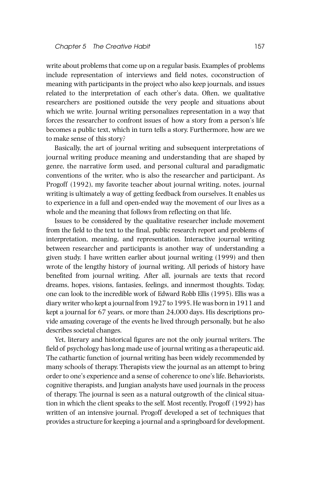write about problems that come up on a regular basis. Examples of problems include representation of interviews and field notes, coconstruction of meaning with participants in the project who also keep journals, and issues related to the interpretation of each other's data. Often, we qualitative researchers are positioned outside the very people and situations about which we write. Journal writing personalizes representation in a way that forces the researcher to confront issues of how a story from a person's life becomes a public text, which in turn tells a story. Furthermore, how are we to make sense of this story?

Basically, the art of journal writing and subsequent interpretations of journal writing produce meaning and understanding that are shaped by genre, the narrative form used, and personal cultural and paradigmatic conventions of the writer, who is also the researcher and participant. As Progoff (1992), my favorite teacher about journal writing, notes, journal writing is ultimately a way of getting feedback from ourselves. It enables us to experience in a full and open-ended way the movement of our lives as a whole and the meaning that follows from reflecting on that life.

Issues to be considered by the qualitative researcher include movement from the field to the text to the final, public research report and problems of interpretation, meaning, and representation. Interactive journal writing between researcher and participants is another way of understanding a given study. I have written earlier about journal writing (1999) and then wrote of the lengthy history of journal writing. All periods of history have benefited from journal writing. After all, journals are texts that record dreams, hopes, visions, fantasies, feelings, and innermost thoughts. Today, one can look to the incredible work of Edward Robb Ellis (1995). Ellis was a diary writer who kept a journal from 1927 to 1995. He was born in 1911 and kept a journal for 67 years, or more than 24,000 days. His descriptions provide amazing coverage of the events he lived through personally, but he also describes societal changes.

Yet, literary and historical figures are not the only journal writers. The field of psychology haslong made use of journal writing as a therapeutic aid. The cathartic function of journal writing has been widely recommended by many schools of therapy. Therapists view the journal as an attempt to bring order to one's experience and a sense of coherence to one's life. Behaviorists, cognitive therapists, and Jungian analysts have used journals in the process of therapy. The journal is seen as a natural outgrowth of the clinical situation in which the client speaks to the self. Most recently, Progoff (1992) has written of an intensive journal. Progoff developed a set of techniques that provides a structure for keeping a journal and a springboard for development.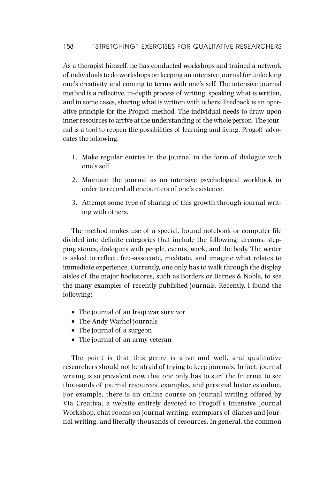As a therapist himself, he has conducted workshops and trained a network of individualsto do workshops on keeping an intensive journal for unlocking one's creativity and coming to terms with one's self. The intensive journal method is a reflective, in-depth process of writing, speaking what is written, and in some cases, sharing what is written with others. Feedback is an operative principle for the Progoff method. The individual needs to draw upon inner resources to arrive at the understanding of the whole person. The journal is a tool to reopen the possibilities of learning and living. Progoff advocates the following:

- 1. Make regular entries in the journal in the form of dialogue with one's self.
- 2. Maintain the journal as an intensive psychological workbook in order to record all encounters of one's existence.
- 3. Attempt some type of sharing of this growth through journal writing with others.

The method makes use of a special, bound notebook or computer file divided into definite categories that include the following: dreams, stepping stones, dialogues with people, events, work, and the body. The writer is asked to reflect, free-associate, meditate, and imagine what relates to immediate experience. Currently, one only has to walk through the display aisles of the major bookstores, such as Borders or Barnes & Noble, to see the many examples of recently published journals. Recently, I found the following:

- The journal of an Iraqi war survivor
- The Andy Warhol journals
- The journal of a surgeon
- The journal of an army veteran

The point is that this genre is alive and well, and qualitative researchers should not be afraid of trying to keep journals. In fact, journal writing is so prevalent now that one only has to surf the Internet to see thousands of journal resources, examples, and personal histories online. For example, there is an online course on journal writing offered by Via Creativa, a website entirely devoted to Progoff's Intensive Journal Workshop, chat rooms on journal writing, exemplars of diaries and journal writing, and literally thousands of resources. In general, the common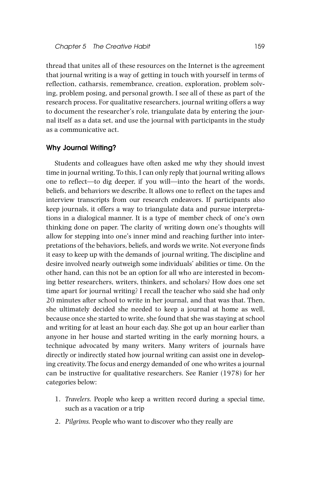thread that unites all of these resources on the Internet is the agreement that journal writing is a way of getting in touch with yourself in terms of reflection, catharsis, remembrance, creation, exploration, problem solving, problem posing, and personal growth. I see all of these as part of the research process. For qualitative researchers, journal writing offers a way to document the researcher's role, triangulate data by entering the journal itself as a data set, and use the journal with participants in the study as a communicative act.

#### **Why Journal Writing?**

Students and colleagues have often asked me why they should invest time in journal writing. To this, I can only reply that journal writing allows one to reflect—to dig deeper, if you will—into the heart of the words, beliefs, and behaviors we describe. It allows one to reflect on the tapes and interview transcripts from our research endeavors. If participants also keep journals, it offers a way to triangulate data and pursue interpretations in a dialogical manner. It is a type of member check of one's own thinking done on paper. The clarity of writing down one's thoughts will allow for stepping into one's inner mind and reaching further into interpretations of the behaviors, beliefs, and words we write. Not everyone finds it easy to keep up with the demands of journal writing. The discipline and desire involved nearly outweigh some individuals' abilities or time. On the other hand, can this not be an option for all who are interested in becoming better researchers, writers, thinkers, and scholars? How does one set time apart for journal writing? I recall the teacher who said she had only 20 minutes after school to write in her journal, and that was that. Then, she ultimately decided she needed to keep a journal at home as well, because once she started to write, she found that she was staying at school and writing for at least an hour each day. She got up an hour earlier than anyone in her house and started writing in the early morning hours, a technique advocated by many writers. Many writers of journals have directly or indirectly stated how journal writing can assist one in developing creativity. The focus and energy demanded of one who writes a journal can be instructive for qualitative researchers. See Ranier (1978) for her categories below:

- 1. *Travelers.* People who keep a written record during a special time, such as a vacation or a trip
- 2. *Pilgrims.* People who want to discover who they really are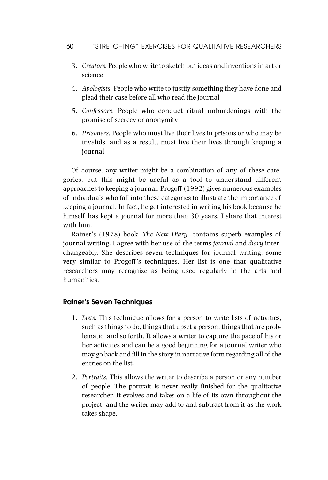- 3. *Creators.* People who write to sketch out ideas and inventionsin art or science
- 4. *Apologists.* People who write to justify something they have done and plead their case before all who read the journal
- 5. *Confessors.* People who conduct ritual unburdenings with the promise of secrecy or anonymity
- 6. *Prisoners.* People who must live their lives in prisons or who may be invalids, and as a result, must live their lives through keeping a journal

Of course, any writer might be a combination of any of these categories, but this might be useful as a tool to understand different approaches to keeping a journal. Progoff (1992) gives numerous examples of individuals who fall into these categories to illustrate the importance of keeping a journal. In fact, he got interested in writing his book because he himself has kept a journal for more than 30 years. I share that interest with him.

Rainer's (1978) book, *The New Diary,* contains superb examples of journal writing. I agree with her use of the terms *journal* and *diary* interchangeably. She describes seven techniques for journal writing, some very similar to Progoff's techniques. Her list is one that qualitative researchers may recognize as being used regularly in the arts and humanities.

## **Rainer's Seven Techniques**

- 1. *Lists.* This technique allows for a person to write lists of activities, such as things to do, things that upset a person, things that are problematic, and so forth. It allows a writer to capture the pace of his or her activities and can be a good beginning for a journal writer who may go back and fill in the story in narrative form regarding all of the entries on the list.
- 2. *Portraits.* This allows the writer to describe a person or any number of people. The portrait is never really finished for the qualitative researcher. It evolves and takes on a life of its own throughout the project, and the writer may add to and subtract from it as the work takes shape.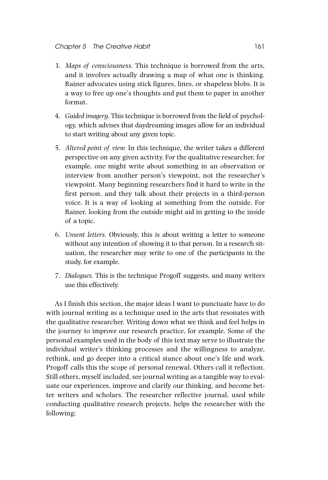- 3. *Maps of consciousness.* This technique is borrowed from the arts, and it involves actually drawing a map of what one is thinking. Rainer advocates using stick figures, lines, or shapeless blobs. It is a way to free up one's thoughts and put them to paper in another format.
- 4. *Guided imagery.* This technique is borrowed from the field of psychology, which advises that daydreaming images allow for an individual to start writing about any given topic.
- 5. *Altered point of view.* In this technique, the writer takes a different perspective on any given activity. For the qualitative researcher, for example, one might write about something in an observation or interview from another person's viewpoint, not the researcher's viewpoint. Many beginning researchers find it hard to write in the first person, and they talk about their projects in a third-person voice. It is a way of looking at something from the outside. For Rainer, looking from the outside might aid in getting to the inside of a topic.
- 6. *Unsent letters.* Obviously, this is about writing a letter to someone without any intention of showing it to that person. In a research situation, the researcher may write to one of the participants in the study, for example.
- 7. *Dialogues.* This is the technique Progoff suggests, and many writers use this effectively.

As I finish this section, the major ideas I want to punctuate have to do with journal writing as a technique used in the arts that resonates with the qualitative researcher. Writing down what we think and feel helps in the journey to improve our research practice, for example. Some of the personal examples used in the body of this text may serve to illustrate the individual writer's thinking processes and the willingness to analyze, rethink, and go deeper into a critical stance about one's life and work. Progoff calls this the scope of personal renewal. Others call it reflection. Still others, myself included, see journal writing as a tangible way to evaluate our experiences, improve and clarify our thinking, and become better writers and scholars. The researcher reflective journal, used while conducting qualitative research projects, helps the researcher with the following: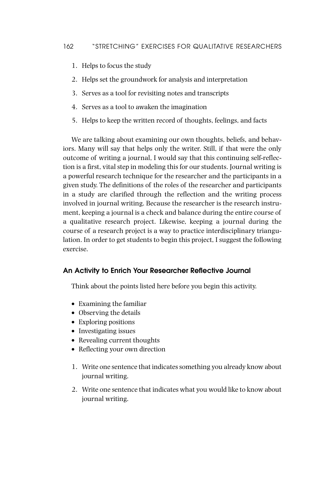- 1. Helps to focus the study
- 2. Helps set the groundwork for analysis and interpretation
- 3. Serves as a tool for revisiting notes and transcripts
- 4. Serves as a tool to awaken the imagination
- 5. Helps to keep the written record of thoughts, feelings, and facts

We are talking about examining our own thoughts, beliefs, and behaviors. Many will say that helps only the writer. Still, if that were the only outcome of writing a journal, I would say that this continuing self-reflection is a first, vital step in modeling this for our students. Journal writing is a powerful research technique for the researcher and the participants in a given study. The definitions of the roles of the researcher and participants in a study are clarified through the reflection and the writing process involved in journal writing. Because the researcher is the research instrument, keeping a journal is a check and balance during the entire course of a qualitative research project. Likewise, keeping a journal during the course of a research project is a way to practice interdisciplinary triangulation. In order to get students to begin this project, I suggest the following exercise.

## **An Activity to Enrich Your Researcher Reflective Journal**

Think about the points listed here before you begin this activity.

- Examining the familiar
- Observing the details
- Exploring positions
- Investigating issues
- Revealing current thoughts
- Reflecting your own direction
- 1. Write one sentence that indicates something you already know about journal writing.
- 2. Write one sentence that indicates what you would like to know about journal writing.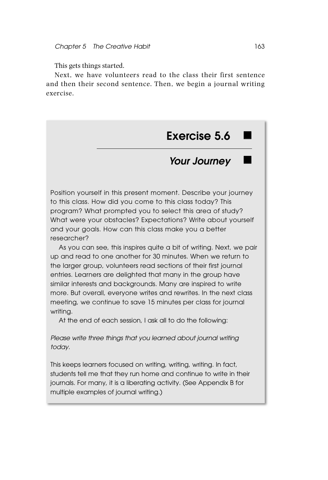This gets things started.

Next, we have volunteers read to the class their first sentence and then their second sentence. Then, we begin a journal writing exercise.

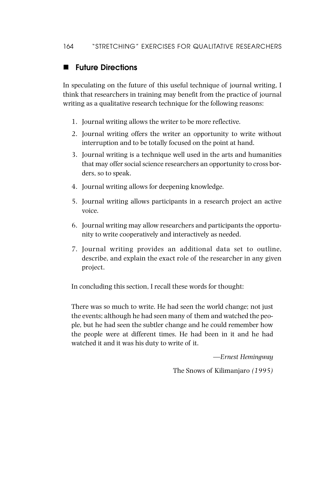## - **Future Directions**

In speculating on the future of this useful technique of journal writing, I think that researchers in training may benefit from the practice of journal writing as a qualitative research technique for the following reasons:

- 1. Journal writing allows the writer to be more reflective.
- 2. Journal writing offers the writer an opportunity to write without interruption and to be totally focused on the point at hand.
- 3. Journal writing is a technique well used in the arts and humanities that may offer social science researchers an opportunity to cross borders, so to speak.
- 4. Journal writing allows for deepening knowledge.
- 5. Journal writing allows participants in a research project an active voice.
- 6. Journal writing may allow researchers and participants the opportunity to write cooperatively and interactively as needed.
- 7. Journal writing provides an additional data set to outline, describe, and explain the exact role of the researcher in any given project.

In concluding this section, I recall these words for thought:

There was so much to write. He had seen the world change; not just the events; although he had seen many of them and watched the people, but he had seen the subtler change and he could remember how the people were at different times. He had been in it and he had watched it and it was his duty to write of it.

*—Ernest Hemingway*

The Snows of Kilimanjaro *(1995)*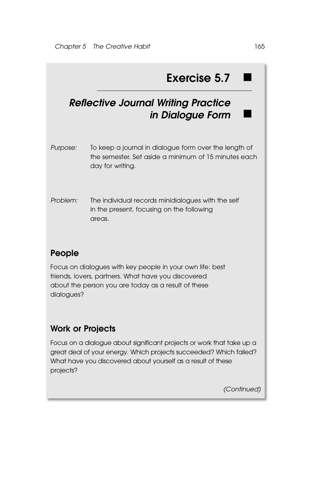

Focus on a dialogue about significant projects or work that take up a great deal of your energy. Which projects succeeded? Which failed? What have you discovered about yourself as a result of these projects?

*(Continued)*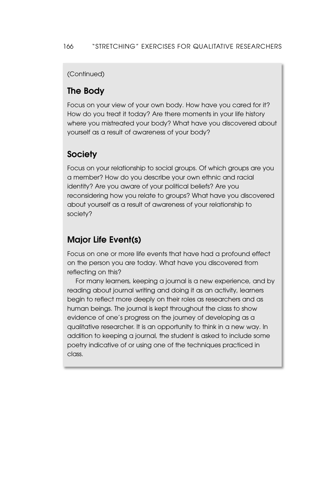(Continued)

## **The Body**

Focus on your view of your own body. How have you cared for it? How do you treat it today? Are there moments in your life history where you mistreated your body? What have you discovered about yourself as a result of awareness of your body?

## **Society**

Focus on your relationship to social groups. Of which groups are you a member? How do you describe your own ethnic and racial identity? Are you aware of your political beliefs? Are you reconsidering how you relate to groups? What have you discovered about yourself as a result of awareness of your relationship to society?

# **Major Life Event(s)**

Focus on one or more life events that have had a profound effect on the person you are today. What have you discovered from reflecting on this?

For many learners, keeping a journal is a new experience, and by reading about journal writing and doing it as an activity, learners begin to reflect more deeply on their roles as researchers and as human beings. The journal is kept throughout the class to show evidence of one's progress on the journey of developing as a qualitative researcher. It is an opportunity to think in a new way. In addition to keeping a journal, the student is asked to include some poetry indicative of or using one of the techniques practiced in class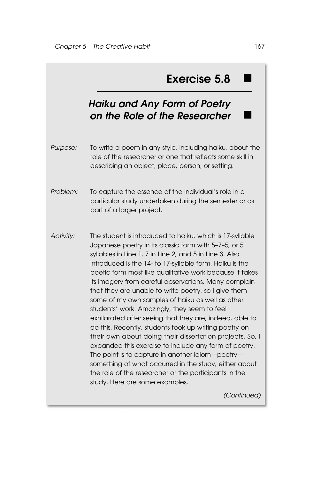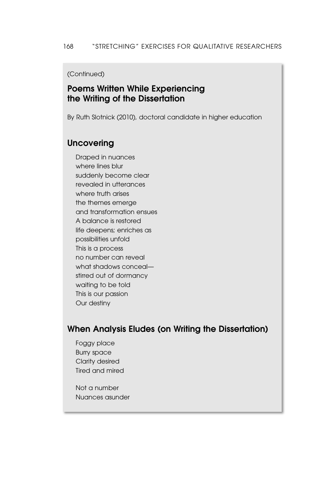(Continued)

## **Poems Written While Experiencing the Writing of the Dissertation**

By Ruth Slotnick (2010), doctoral candidate in higher education

## **Uncovering**

Draped in nuances where lines blur suddenly become clear revealed in utterances where truth arises the themes emerge and transformation ensues A balance is restored life deepens; enriches as possibilities unfold This is a process no number can reveal what shadows conceal stirred out of dormancy waiting to be told This is our passion Our destiny

**When Analysis Eludes (on Writing the Dissertation)**

Foggy place Burry space Clarity desired Tired and mired

Not a number Nuances asunder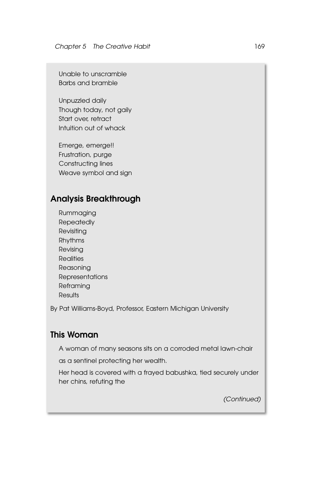Unable to unscramble Barbs and bramble

Unpuzzled daily Though today, not gaily Start over, retract Intuition out of whack

Emerge, emerge!! Frustration, purge Constructing lines Weave symbol and sign

## **Analysis Breakthrough**

Rummaging Repeatedly Revisiting Rhythms Revising **Realities** Reasoning Representations Reframing **Results** 

By Pat Williams-Boyd, Professor, Eastern Michigan University

## **This Woman**

A woman of many seasons sits on a corroded metal lawn-chair

as a sentinel protecting her wealth.

Her head is covered with a frayed babushka, tied securely under her chins, refuting the

*(Continued)*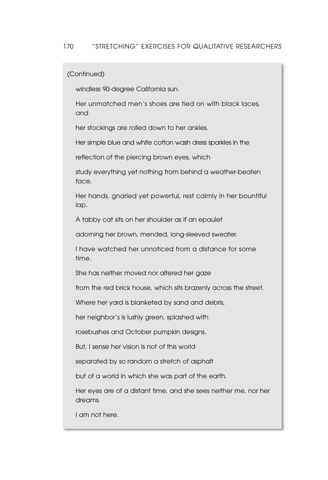(Continued)

windless 90-degree California sun.

Her unmatched men's shoes are tied on with black laces, and

her stockings are rolled down to her ankles.

Her simple blue and white cotton wash dress sparkles in the

reflection of the piercing brown eyes, which

study everything yet nothing from behind a weather-beaten face.

Her hands, gnarled yet powerful, rest calmly in her bountiful lap.

A tabby cat sits on her shoulder as if an epaulet

adorning her brown, mended, long-sleeved sweater.

I have watched her unnoticed from a distance for some time.

She has neither moved nor altered her gaze

from the red brick house, which sits brazenly across the street.

Where her yard is blanketed by sand and debris,

her neighbor's is lushly green, splashed with

rosebushes and October pumpkin designs.

But, I sense her vision is not of this world

separated by so random a stretch of asphalt

but of a world in which she was part of the earth.

Her eyes are of a distant time, and she sees neither me, nor her dreams

I am not here.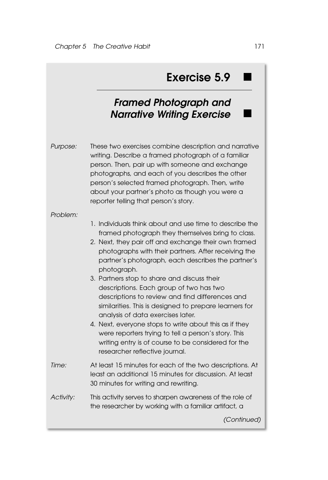|           | <b>Exercise 5.9</b>                                                                                                                                                                                                                                                                                                                                                                                                                                                                                                                                                                                                                                                                                                                                      |
|-----------|----------------------------------------------------------------------------------------------------------------------------------------------------------------------------------------------------------------------------------------------------------------------------------------------------------------------------------------------------------------------------------------------------------------------------------------------------------------------------------------------------------------------------------------------------------------------------------------------------------------------------------------------------------------------------------------------------------------------------------------------------------|
|           | <b>Framed Photograph and</b><br><b>Narrative Writing Exercise</b>                                                                                                                                                                                                                                                                                                                                                                                                                                                                                                                                                                                                                                                                                        |
| Purpose:  | These two exercises combine description and narrative<br>writing. Describe a framed photograph of a familiar<br>person. Then, pair up with someone and exchange<br>photographs, and each of you describes the other<br>person's selected framed photograph. Then, write<br>about your partner's photo as though you were a<br>reporter telling that person's story.                                                                                                                                                                                                                                                                                                                                                                                      |
| Problem:  | 1. Individuals think about and use time to describe the<br>framed photograph they themselves bring to class.<br>2. Next, they pair off and exchange their own framed<br>photographs with their partners. After receiving the<br>partner's photograph, each describes the partner's<br>photograph.<br>3. Partners stop to share and discuss their<br>descriptions. Each group of two has two<br>descriptions to review and find differences and<br>similarities. This is designed to prepare learners for<br>analysis of data exercises later.<br>4. Next, everyone stops to write about this as if they<br>were reporters trying to tell a person's story. This<br>writing entry is of course to be considered for the<br>researcher reflective journal. |
| Time:     | At least 15 minutes for each of the two descriptions. At<br>least an additional 15 minutes for discussion. At least<br>30 minutes for writing and rewriting.                                                                                                                                                                                                                                                                                                                                                                                                                                                                                                                                                                                             |
| Activity: | This activity serves to sharpen awareness of the role of<br>the researcher by working with a familiar artifact, a<br>(Continued)                                                                                                                                                                                                                                                                                                                                                                                                                                                                                                                                                                                                                         |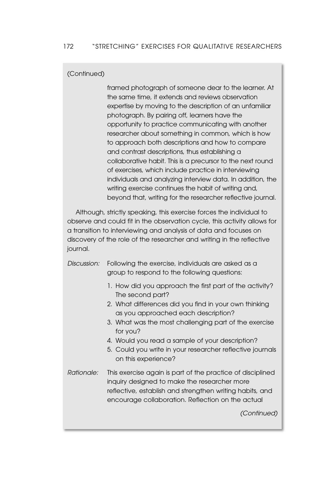#### (Continued)

framed photograph of someone dear to the learner. At the same time, it extends and reviews observation expertise by moving to the description of an unfamiliar photograph. By pairing off, learners have the opportunity to practice communicating with another researcher about something in common, which is how to approach both descriptions and how to compare and contrast descriptions, thus establishing a collaborative habit. This is a precursor to the next round of exercises, which include practice in interviewing individuals and analyzing interview data. In addition, the writing exercise continues the habit of writing and, beyond that, writing for the researcher reflective journal.

Although, strictly speaking, this exercise forces the individual to observe and could fit in the observation cycle, this activity allows for a transition to interviewing and analysis of data and focuses on discovery of the role of the researcher and writing in the reflective journal.

- *Discussion:* Following the exercise, individuals are asked as a group to respond to the following questions:
	- 1. How did you approach the first part of the activity? The second part?
	- 2. What differences did you find in your own thinking as you approached each description?
	- 3. What was the most challenging part of the exercise for you?
	- 4. Would you read a sample of your description?
	- 5. Could you write in your researcher reflective journals on this experience?
- *Rationale:* This exercise again is part of the practice of disciplined inquiry designed to make the researcher more reflective, establish and strengthen writing habits, and encourage collaboration. Reflection on the actual

*(Continued)*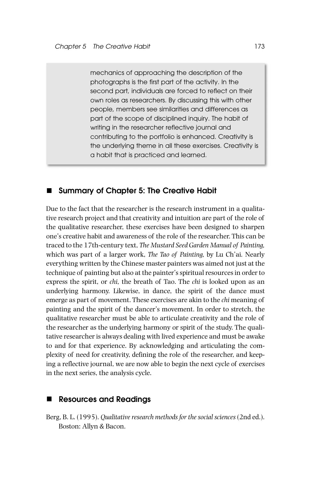mechanics of approaching the description of the photographs is the first part of the activity. In the second part, individuals are forced to reflect on their own roles as researchers. By discussing this with other people, members see similarities and differences as part of the scope of disciplined inquiry. The habit of writing in the researcher reflective journal and contributing to the portfolio is enhanced. Creativity is the underlying theme in all these exercises. Creativity is a habit that is practiced and learned.

#### -**Summary of Chapter 5: The Creative Habit**

Due to the fact that the researcher is the research instrument in a qualitative research project and that creativity and intuition are part of the role of the qualitative researcher, these exercises have been designed to sharpen one's creative habit and awareness of the role of the researcher. This can be traced to the 17th-century text, *The Mustard Seed Garden Manual of Painting,* which was part of a larger work, *The Tao of Painting,* by Lu Ch'ai*.* Nearly everything written by the Chinese master painters was aimed not just at the technique of painting but also at the painter's spiritual resources in order to express the spirit, or *chi,* the breath of Tao. The *chi* is looked upon as an underlying harmony. Likewise, in dance, the spirit of the dance must emerge as part of movement. These exercises are akin to the *chi* meaning of painting and the spirit of the dancer's movement. In order to stretch, the qualitative researcher must be able to articulate creativity and the role of the researcher as the underlying harmony or spirit of the study. The qualitative researcher is always dealing with lived experience and must be awake to and for that experience. By acknowledging and articulating the complexity of need for creativity, defining the role of the researcher, and keeping a reflective journal, we are now able to begin the next cycle of exercises in the next series, the analysis cycle.

#### -**Resources and Readings**

Berg, B. L. (1995). *Qualitative research methods for the social sciences* (2nd ed.). Boston: Allyn & Bacon.